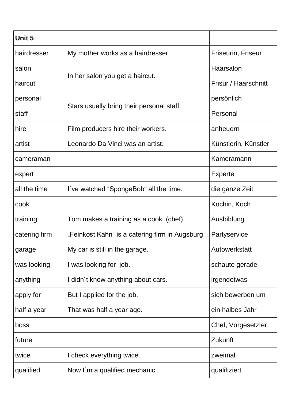| Unit 5        |                                                |                      |
|---------------|------------------------------------------------|----------------------|
| hairdresser   | My mother works as a hairdresser.              | Friseurin, Friseur   |
| salon         | In her salon you get a haircut.                | Haarsalon            |
| haircut       |                                                | Frisur / Haarschnitt |
| personal      | Stars usually bring their personal staff.      | persönlich           |
| staff         |                                                | Personal             |
| hire          | Film producers hire their workers.             | anheuern             |
| artist        | Leonardo Da Vinci was an artist.               | Künstlerin, Künstler |
| cameraman     |                                                | Kameramann           |
| expert        |                                                | <b>Experte</b>       |
| all the time  | I've watched "SpongeBob" all the time.         | die ganze Zeit       |
| cook          |                                                | Köchin, Koch         |
| training      | Tom makes a training as a cook. (chef)         | Ausbildung           |
| catering firm | "Feinkost Kahn" is a catering firm in Augsburg | Partyservice         |
| garage        | My car is still in the garage.                 | Autowerkstatt        |
| was looking   | I was looking for job.                         | schaute gerade       |
| anything      | I didn't know anything about cars.             | irgendetwas          |
| apply for     | But I applied for the job.                     | sich bewerben um     |
| half a year   | That was half a year ago.                      | ein halbes Jahr      |
| boss          |                                                | Chef, Vorgesetzter   |
| future        |                                                | Zukunft              |
| twice         | I check everything twice.                      | zweimal              |
| qualified     | Now I'm a qualified mechanic.                  | qualifiziert         |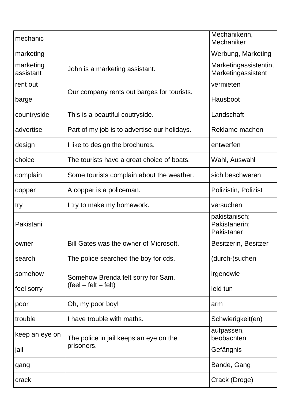| mechanic               |                                                                                   | Mechanikerin,<br>Mechaniker                  |
|------------------------|-----------------------------------------------------------------------------------|----------------------------------------------|
| marketing              |                                                                                   | Werbung, Marketing                           |
| marketing<br>assistant | John is a marketing assistant.                                                    | Marketingassistentin,<br>Marketingassistent  |
| rent out               | Our company rents out barges for tourists.                                        | vermieten                                    |
| barge                  |                                                                                   | Hausboot                                     |
| countryside            | This is a beautiful coutryside.                                                   | Landschaft                                   |
| advertise              | Part of my job is to advertise our holidays.                                      | Reklame machen                               |
| design                 | I like to design the brochures.                                                   | entwerfen                                    |
| choice                 | The tourists have a great choice of boats.                                        | Wahl, Auswahl                                |
| complain               | Some tourists complain about the weather.                                         | sich beschweren                              |
| copper                 | A copper is a policeman.                                                          | Polizistin, Polizist                         |
| try                    | I try to make my homework.                                                        | versuchen                                    |
| Pakistani              |                                                                                   | pakistanisch;<br>Pakistanerin;<br>Pakistaner |
| owner                  | Bill Gates was the owner of Microsoft.                                            | Besitzerin, Besitzer                         |
| search                 | The police searched the boy for cds.                                              | (durch-)suchen                               |
| somehow                | Somehow Brenda felt sorry for Sam.<br>$(\text{feel} - \text{felt} - \text{felt})$ | irgendwie                                    |
| feel sorry             |                                                                                   | leid tun                                     |
| poor                   | Oh, my poor boy!                                                                  | arm                                          |
| trouble                | I have trouble with maths.                                                        | Schwierigkeit(en)                            |
| keep an eye on         | The police in jail keeps an eye on the<br>prisoners.                              | aufpassen,<br>beobachten                     |
| jail                   |                                                                                   | Gefängnis                                    |
| gang                   |                                                                                   | Bande, Gang                                  |
| crack                  |                                                                                   | Crack (Droge)                                |